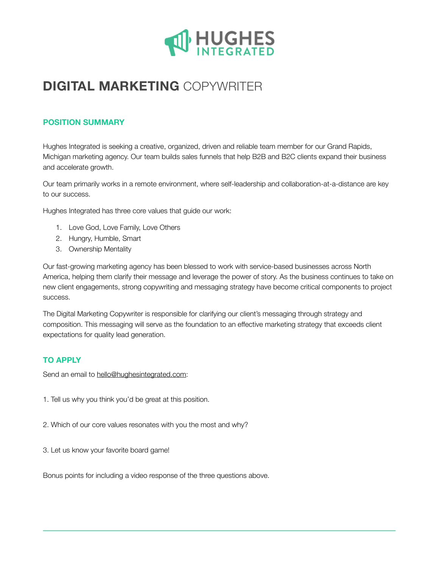

# **DIGITAL MARKETING** COPYWRITER

# **POSITION SUMMARY**

Hughes Integrated is seeking a creative, organized, driven and reliable team member for our Grand Rapids, Michigan marketing agency. Our team builds sales funnels that help B2B and B2C clients expand their business and accelerate growth.

Our team primarily works in a remote environment, where self-leadership and collaboration-at-a-distance are key to our success.

Hughes Integrated has three core values that guide our work:

- 1. Love God, Love Family, Love Others
- 2. Hungry, Humble, Smart
- 3. Ownership Mentality

Our fast-growing marketing agency has been blessed to work with service-based businesses across North America, helping them clarify their message and leverage the power of story. As the business continues to take on new client engagements, strong copywriting and messaging strategy have become critical components to project success.

The Digital Marketing Copywriter is responsible for clarifying our client's messaging through strategy and composition. This messaging will serve as the foundation to an effective marketing strategy that exceeds client expectations for quality lead generation.

# **TO APPLY**

Send an email to [hello@hughesintegrated.com:](mailto:hello@hughesintegrated.com)

- 1. Tell us why you think you'd be great at this position.
- 2. Which of our core values resonates with you the most and why?
- 3. Let us know your favorite board game!

Bonus points for including a video response of the three questions above.